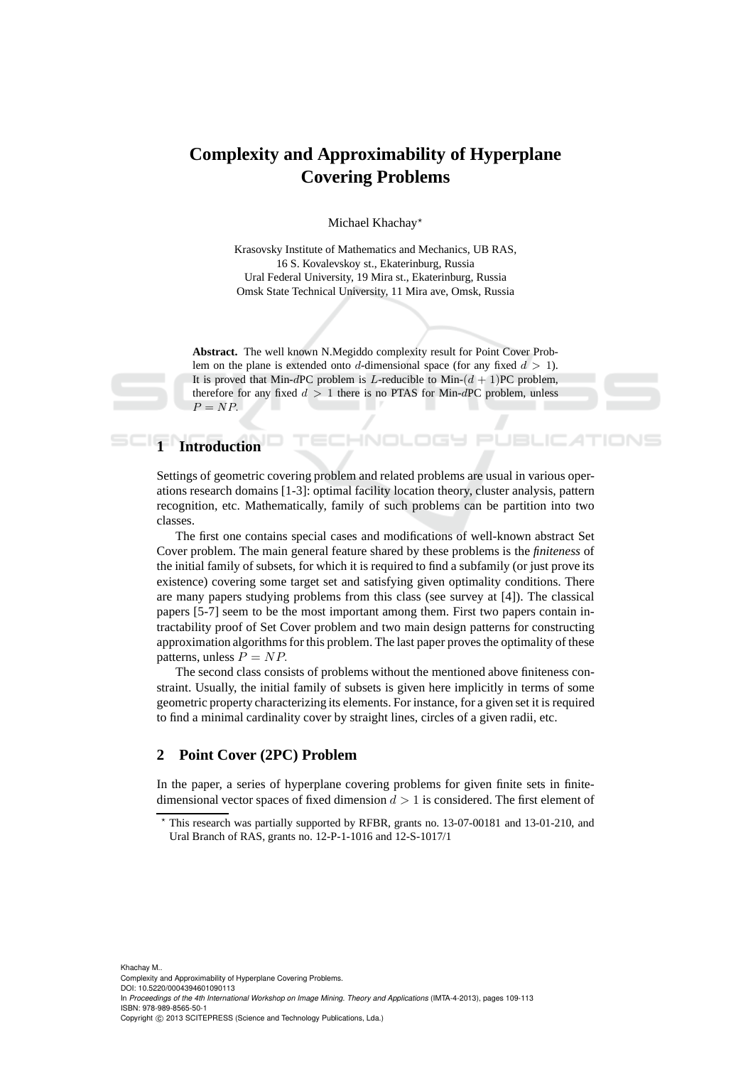## **Complexity and Approximability of Hyperplane Covering Problems**

Michael Khachay<sup>\*</sup>

Krasovsky Institute of Mathematics and Mechanics, UB RAS, 16 S. Kovalevskoy st., Ekaterinburg, Russia Ural Federal University, 19 Mira st., Ekaterinburg, Russia Omsk State Technical University, 11 Mira ave, Omsk, Russia

**Abstract.** The well known N.Megiddo complexity result for Point Cover Problem on the plane is extended onto d-dimensional space (for any fixed  $d > 1$ ). It is proved that Min-dPC problem is L-reducible to Min- $(d + 1)$ PC problem, therefore for any fixed  $d > 1$  there is no PTAS for Min-dPC problem, unless  $P = NP$ .

-INOI

# **1 Introduction**

Settings of geometric covering problem and related problems are usual in various operations research domains [1-3]: optimal facility location theory, cluster analysis, pattern recognition, etc. Mathematically, family of such problems can be partition into two classes.

The first one contains special cases and modifications of well-known abstract Set Cover problem. The main general feature shared by these problems is the *finiteness* of the initial family of subsets, for which it is required to find a subfamily (or just prove its existence) covering some target set and satisfying given optimality conditions. There are many papers studying problems from this class (see survey at [4]). The classical papers [5-7] seem to be the most important among them. First two papers contain intractability proof of Set Cover problem and two main design patterns for constructing approximation algorithms for this problem. The last paper proves the optimality of these patterns, unless  $P = NP$ .

The second class consists of problems without the mentioned above finiteness constraint. Usually, the initial family of subsets is given here implicitly in terms of some geometric property characterizing its elements. For instance, for a given set it is required to find a minimal cardinality cover by straight lines, circles of a given radii, etc.

#### **2 Point Cover (2PC) Problem**

In the paper, a series of hyperplane covering problems for given finite sets in finitedimensional vector spaces of fixed dimension  $d > 1$  is considered. The first element of

This research was partially supported by RFBR, grants no. 13-07-00181 and 13-01-210, and Ural Branch of RAS, grants no. 12-P-1-1016 and 12-S-1017/1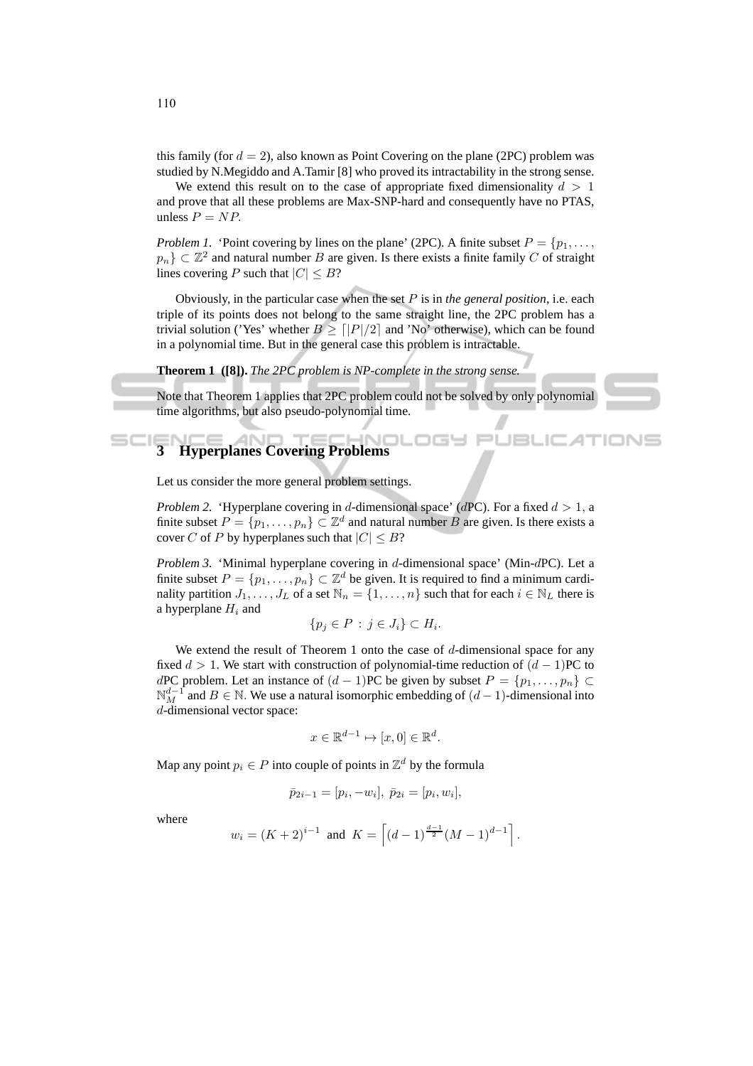this family (for  $d = 2$ ), also known as Point Covering on the plane (2PC) problem was studied by N.Megiddo and A.Tamir [8] who proved its intractability in the strong sense.

We extend this result on to the case of appropriate fixed dimensionality  $d > 1$ and prove that all these problems are Max-SNP-hard and consequently have no PTAS, unless  $P = NP$ .

*Problem 1.* 'Point covering by lines on the plane' (2PC). A finite subset  $P = \{p_1, \ldots, p_n\}$  $p_n$ }  $\subset \mathbb{Z}^2$  and natural number B are given. Is there exists a finite family C of straight lines covering P such that  $|C| \leq B$ ?

Obviously, in the particular case when the set P is in *the general position*, i.e. each triple of its points does not belong to the same straight line, the 2PC problem has a trivial solution ('Yes' whether  $B > \lfloor |P|/2 \rfloor$  and 'No' otherwise), which can be found in a polynomial time. But in the general case this problem is intractable.

#### **Theorem 1 ([8]).** *The 2PC problem is NP-complete in the strong sense.*

Note that Theorem 1 applies that 2PC problem could not be solved by only polynomial time algorithms, but also pseudo-polynomial time.

旧

### **3 Hyperplanes Covering Problems**

Let us consider the more general problem settings.

*Problem 2.* 'Hyperplane covering in d-dimensional space' (dPC). For a fixed  $d > 1$ , a finite subset  $P = \{p_1, \ldots, p_n\} \subset \mathbb{Z}^d$  and natural number B are given. Is there exists a cover C of P by hyperplanes such that  $|C| \leq B$ ?

*Problem 3.* 'Minimal hyperplane covering in d-dimensional space' (Min-dPC). Let a finite subset  $P = \{p_1, \ldots, p_n\} \subset \mathbb{Z}^d$  be given. It is required to find a minimum cardinality partition  $J_1, \ldots, J_L$  of a set  $\mathbb{N}_n = \{1, \ldots, n\}$  such that for each  $i \in \mathbb{N}_L$  there is a hyperplane  $H_i$  and

$$
\{p_j \in P : j \in J_i\} \subset H_i.
$$

We extend the result of Theorem 1 onto the case of  $d$ -dimensional space for any fixed  $d > 1$ . We start with construction of polynomial-time reduction of  $(d-1)$ PC to dPC problem. Let an instance of  $(d-1)$ PC be given by subset  $P = \{p_1, \ldots, p_n\}$  ⊂  $\mathbb{N}_{M}^{d-1}$  and  $B \in \mathbb{N}$ . We use a natural isomorphic embedding of  $(d-1)$ -dimensional into d-dimensional vector space:

$$
x \in \mathbb{R}^{d-1} \mapsto [x, 0] \in \mathbb{R}^d.
$$

Map any point  $p_i \in P$  into couple of points in  $\mathbb{Z}^d$  by the formula

$$
\bar{p}_{2i-1} = [p_i, -w_i], \ \bar{p}_{2i} = [p_i, w_i],
$$

where

$$
w_i = (K+2)^{i-1}
$$
 and  $K = \left[ (d-1)^{\frac{d-1}{2}} (M-1)^{d-1} \right]$ .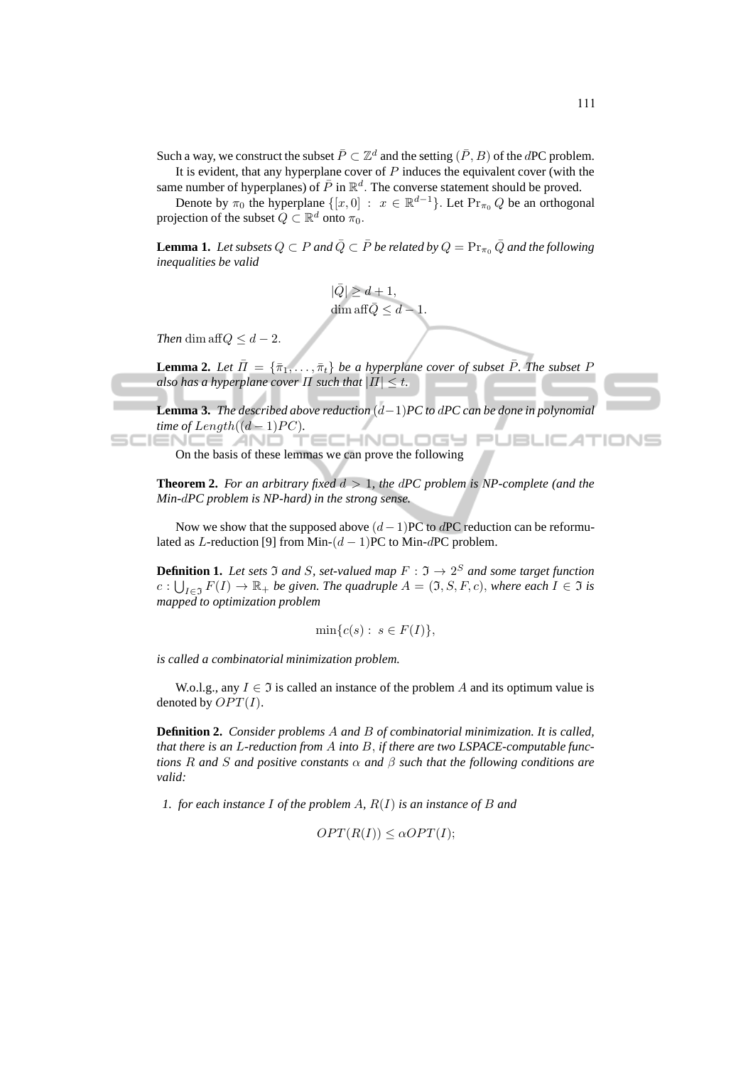Such a way, we construct the subset  $\bar{P}\subset\mathbb{Z}^d$  and the setting  $(\bar{P},B)$  of the dPC problem.

It is evident, that any hyperplane cover of  $P$  induces the equivalent cover (with the same number of hyperplanes) of  $\bar{P}$  in  $\mathbb{R}^d$ . The converse statement should be proved.

Denote by  $\pi_0$  the hyperplane  $\{ [x, 0] : x \in \mathbb{R}^{d-1} \}$ . Let  $\Pr_{\pi_0} Q$  be an orthogonal projection of the subset  $Q \subset \mathbb{R}^d$  onto  $\pi_0$ .

**Lemma 1.** Let subsets  $Q \subset P$  and  $\overline{Q} \subset \overline{P}$  be related by  $Q = \Pr_{\pi_0} \overline{Q}$  and the following *inequalities be valid*

$$
|\bar{Q}| \ge d + 1,
$$
  
dim aff $\bar{Q} \le d - 1.$ 

*Then* dim aff $Q \leq d - 2$ .

**Lemma 2.** Let  $\bar{\Pi} = {\{\bar{\pi}_1, \ldots, \bar{\pi}_t\}}$  be a hyperplane cover of subset  $\bar{P}$ . The subset P *also has a hyperplane cover*  $\Pi$  *such that*  $|\Pi| \leq t$ .

**Lemma 3.** *The described above reduction* (d−1)*PC to* d*PC can be done in polynomial time of Length* $((d-1)PC)$ *.* 

HNOLOGY PUBLICATIONS т On the basis of these lemmas we can prove the following

**Theorem 2.** *For an arbitrary fixed*  $d > 1$ *, the dPC problem is NP-complete (and the Min-*d*PC problem is NP-hard) in the strong sense.*

Now we show that the supposed above  $(d-1)$ PC to dPC reduction can be reformulated as L-reduction [9] from Min- $(d-1)$ PC to Min-dPC problem.

**Definition 1.** Let sets  $\Im$  and  $S$ , set-valued map  $F : \Im \rightarrow 2^S$  and some target function  $c: \bigcup_{I \in \mathfrak{I}} F(I) \to \mathbb{R}_+$  *be given. The quadruple*  $A = (\mathfrak{I}, S, F, c)$ *, where each*  $I \in \mathfrak{I}$  *is mapped to optimization problem*

$$
\min\{c(s): s \in F(I)\},\
$$

*is called a combinatorial minimization problem.*

W.o.l.g., any  $I \in \mathfrak{I}$  is called an instance of the problem A and its optimum value is denoted by  $OPT(I)$ .

**Definition 2.** *Consider problems* A *and* B *of combinatorial minimization. It is called, that there is an* L*-reduction from* A *into* B, *if there are two LSPACE-computable functions* R *and* S *and positive constants* α *and* β *such that the following conditions are valid:*

*1. for each instance* I *of the problem* A*,* R(I) *is an instance of* B *and*

$$
OPT(R(I)) \leq \alpha OPT(I);
$$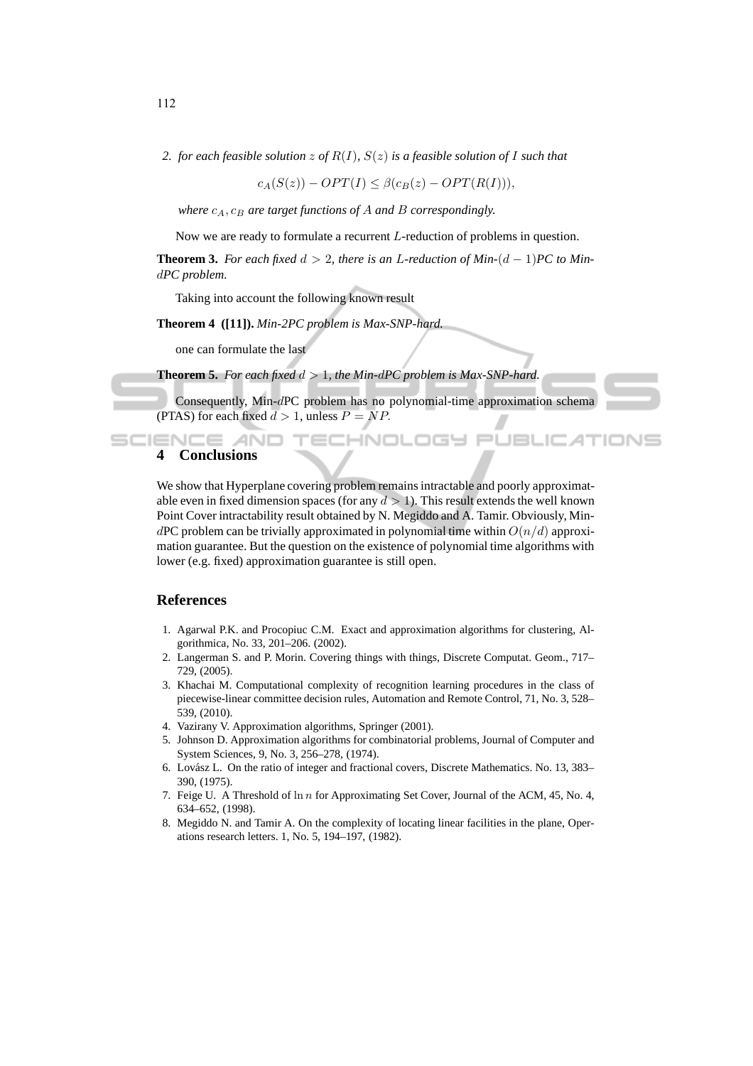*2. for each feasible solution* z *of* R(I)*,* S(z) *is a feasible solution of* I *such that*

 $c_A(S(z)) - OPT(I) \leq \beta(c_B(z) - OPT(R(I))),$ 

*where*  $c_A$ ,  $c_B$  *are target functions of* A *and* B *correspondingly.* 

Now we are ready to formulate a recurrent L-reduction of problems in question.

**Theorem 3.** For each fixed  $d > 2$ , there is an L-reduction of Min- $(d-1)$ PC to Mind*PC problem.*

Taking into account the following known result

**Theorem 4 ([11]).** *Min-2PC problem is Max-SNP-hard.*

one can formulate the last

**Theorem 5.** For each fixed  $d > 1$ , the Min-dPC problem is Max-SNP-hard.

Consequently, Min-dPC problem has no polynomial-time approximation schema (PTAS) for each fixed  $d > 1$ , unless  $P = NP$ .

:HNOLOG

JET

#### **SCIENCE AN 4 Conclusions**

We show that Hyperplane covering problem remains intractable and poorly approximatable even in fixed dimension spaces (for any  $d > 1$ ). This result extends the well known Point Cover intractability result obtained by N. Megiddo and A. Tamir. Obviously, MindPC problem can be trivially approximated in polynomial time within  $O(n/d)$  approximation guarantee. But the question on the existence of polynomial time algorithms with lower (e.g. fixed) approximation guarantee is still open.

#### **References**

- 1. Agarwal P.K. and Procopiuc C.M. Exact and approximation algorithms for clustering, Algorithmica, No. 33, 201–206. (2002).
- 2. Langerman S. and P. Morin. Covering things with things, Discrete Computat. Geom., 717– 729, (2005).
- 3. Khachai M. Computational complexity of recognition learning procedures in the class of piecewise-linear committee decision rules, Automation and Remote Control, 71, No. 3, 528– 539, (2010).
- 4. Vazirany V. Approximation algorithms, Springer (2001).
- 5. Johnson D. Approximation algorithms for combinatorial problems, Journal of Computer and System Sciences, 9, No. 3, 256–278, (1974).
- 6. Lovász L. On the ratio of integer and fractional covers, Discrete Mathematics. No. 13, 383-390, (1975).
- 7. Feige U. A Threshold of  $\ln n$  for Approximating Set Cover, Journal of the ACM, 45, No. 4, 634–652, (1998).
- 8. Megiddo N. and Tamir A. On the complexity of locating linear facilities in the plane, Operations research letters. 1, No. 5, 194–197, (1982).